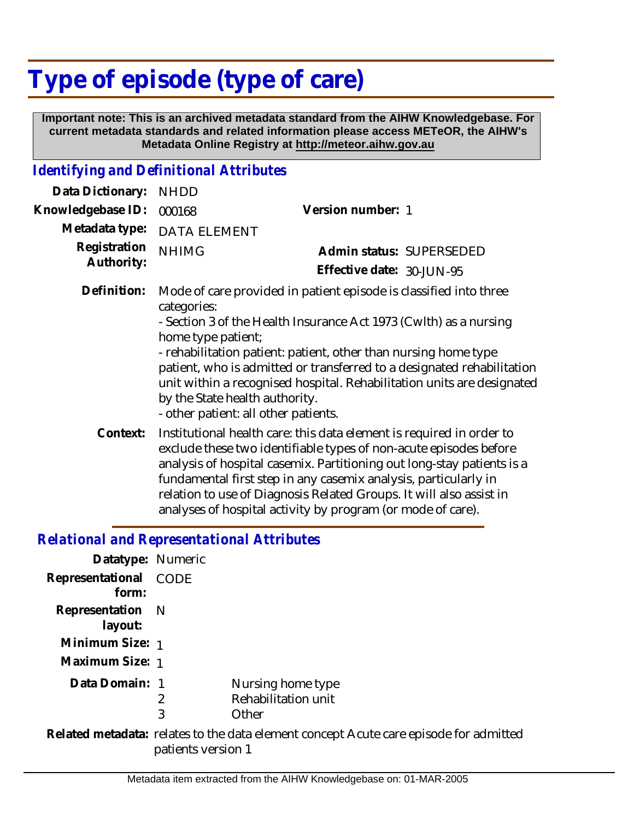# **Type of episode (type of care)**

 **Important note: This is an archived metadata standard from the AIHW Knowledgebase. For current metadata standards and related information please access METeOR, the AIHW's Metadata Online Registry at http://meteor.aihw.gov.au**

### *Identifying and Definitional Attributes*

| Data Dictionary:           | <b>NHDD</b>                                                                                                                                                                                                                                                                                                                                                                                                                                                                  |                                                                                                                                                                                                                                                                                                                                                                                                                              |  |
|----------------------------|------------------------------------------------------------------------------------------------------------------------------------------------------------------------------------------------------------------------------------------------------------------------------------------------------------------------------------------------------------------------------------------------------------------------------------------------------------------------------|------------------------------------------------------------------------------------------------------------------------------------------------------------------------------------------------------------------------------------------------------------------------------------------------------------------------------------------------------------------------------------------------------------------------------|--|
| Knowledgebase ID:          | 000168                                                                                                                                                                                                                                                                                                                                                                                                                                                                       | Version number: 1                                                                                                                                                                                                                                                                                                                                                                                                            |  |
| Metadata type:             | <b>DATA ELEMENT</b>                                                                                                                                                                                                                                                                                                                                                                                                                                                          |                                                                                                                                                                                                                                                                                                                                                                                                                              |  |
| Registration<br>Authority: | <b>NHIMG</b>                                                                                                                                                                                                                                                                                                                                                                                                                                                                 | Admin status: SUPERSEDED                                                                                                                                                                                                                                                                                                                                                                                                     |  |
|                            |                                                                                                                                                                                                                                                                                                                                                                                                                                                                              | Effective date: 30-JUN-95                                                                                                                                                                                                                                                                                                                                                                                                    |  |
| Definition:                | Mode of care provided in patient episode is classified into three<br>categories:<br>- Section 3 of the Health Insurance Act 1973 (Cwith) as a nursing<br>home type patient;<br>- rehabilitation patient: patient, other than nursing home type<br>patient, who is admitted or transferred to a designated rehabilitation<br>unit within a recognised hospital. Rehabilitation units are designated<br>by the State health authority.<br>- other patient: all other patients. |                                                                                                                                                                                                                                                                                                                                                                                                                              |  |
| Context:                   |                                                                                                                                                                                                                                                                                                                                                                                                                                                                              | Institutional health care: this data element is required in order to<br>exclude these two identifiable types of non-acute episodes before<br>analysis of hospital casemix. Partitioning out long-stay patients is a<br>fundamental first step in any casemix analysis, particularly in<br>relation to use of Diagnosis Related Groups. It will also assist in<br>analyses of hospital activity by program (or mode of care). |  |

#### *Relational and Representational Attributes*

| Datatype: Numeric              |                                                   |
|--------------------------------|---------------------------------------------------|
| Representational CODE<br>form: |                                                   |
| Representation N<br>layout:    |                                                   |
| Minimum Size: 1                |                                                   |
| Maximum Size: 1                |                                                   |
| Data Domain: 1                 | Nursing home type<br>Rehabilitation unit<br>Other |
|                                |                                                   |

Related metadata: relates to the data element concept Acute care episode for admitted patients version 1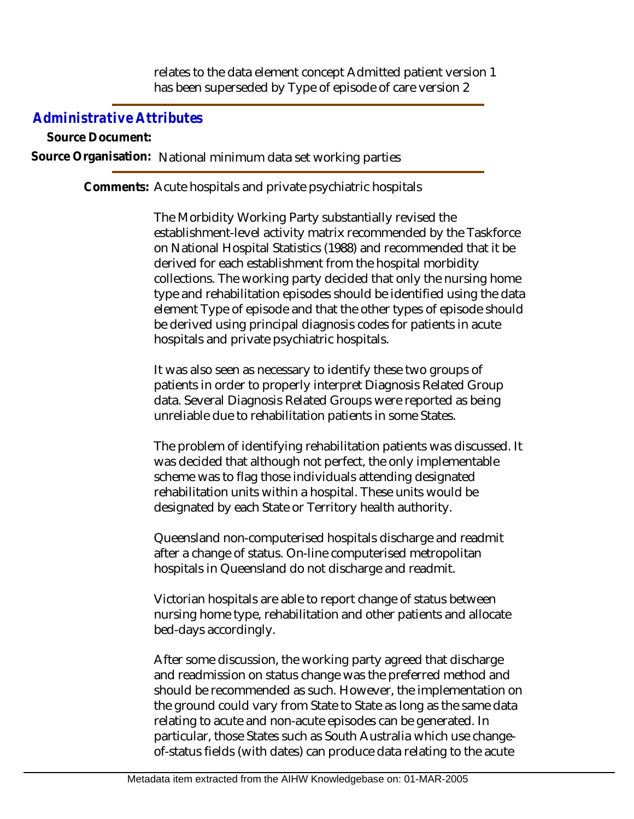relates to the data element concept Admitted patient version 1 has been superseded by Type of episode of care version 2

## *Administrative Attributes*

**Source Document: Source Organisation:** National minimum data set working parties

Comments: Acute hospitals and private psychiatric hospitals

The Morbidity Working Party substantially revised the establishment-level activity matrix recommended by the Taskforce on National Hospital Statistics (1988) and recommended that it be derived for each establishment from the hospital morbidity collections. The working party decided that only the nursing home type and rehabilitation episodes should be identified using the data element Type of episode and that the other types of episode should be derived using principal diagnosis codes for patients in acute hospitals and private psychiatric hospitals.

It was also seen as necessary to identify these two groups of patients in order to properly interpret Diagnosis Related Group data. Several Diagnosis Related Groups were reported as being unreliable due to rehabilitation patients in some States.

The problem of identifying rehabilitation patients was discussed. It was decided that although not perfect, the only implementable scheme was to flag those individuals attending designated rehabilitation units within a hospital. These units would be designated by each State or Territory health authority.

Queensland non-computerised hospitals discharge and readmit after a change of status. On-line computerised metropolitan hospitals in Queensland do not discharge and readmit.

Victorian hospitals are able to report change of status between nursing home type, rehabilitation and other patients and allocate bed-days accordingly.

After some discussion, the working party agreed that discharge and readmission on status change was the preferred method and should be recommended as such. However, the implementation on the ground could vary from State to State as long as the same data relating to acute and non-acute episodes can be generated. In particular, those States such as South Australia which use changeof-status fields (with dates) can produce data relating to the acute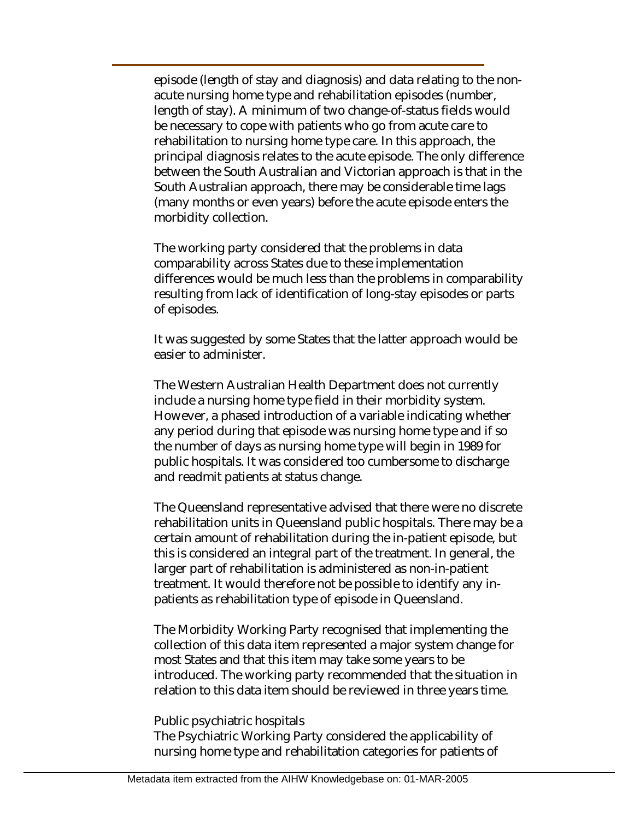episode (length of stay and diagnosis) and data relating to the nonacute nursing home type and rehabilitation episodes (number, length of stay). A minimum of two change-of-status fields would be necessary to cope with patients who go from acute care to rehabilitation to nursing home type care. In this approach, the principal diagnosis relates to the acute episode. The only difference between the South Australian and Victorian approach is that in the South Australian approach, there may be considerable time lags (many months or even years) before the acute episode enters the morbidity collection.

The working party considered that the problems in data comparability across States due to these implementation differences would be much less than the problems in comparability resulting from lack of identification of long-stay episodes or parts of episodes.

It was suggested by some States that the latter approach would be easier to administer.

The Western Australian Health Department does not currently include a nursing home type field in their morbidity system. However, a phased introduction of a variable indicating whether any period during that episode was nursing home type and if so the number of days as nursing home type will begin in 1989 for public hospitals. It was considered too cumbersome to discharge and readmit patients at status change.

The Queensland representative advised that there were no discrete rehabilitation units in Queensland public hospitals. There may be a certain amount of rehabilitation during the in-patient episode, but this is considered an integral part of the treatment. In general, the larger part of rehabilitation is administered as non-in-patient treatment. It would therefore not be possible to identify any inpatients as rehabilitation type of episode in Queensland.

The Morbidity Working Party recognised that implementing the collection of this data item represented a major system change for most States and that this item may take some years to be introduced. The working party recommended that the situation in relation to this data item should be reviewed in three years time.

#### Public psychiatric hospitals

The Psychiatric Working Party considered the applicability of nursing home type and rehabilitation categories for patients of